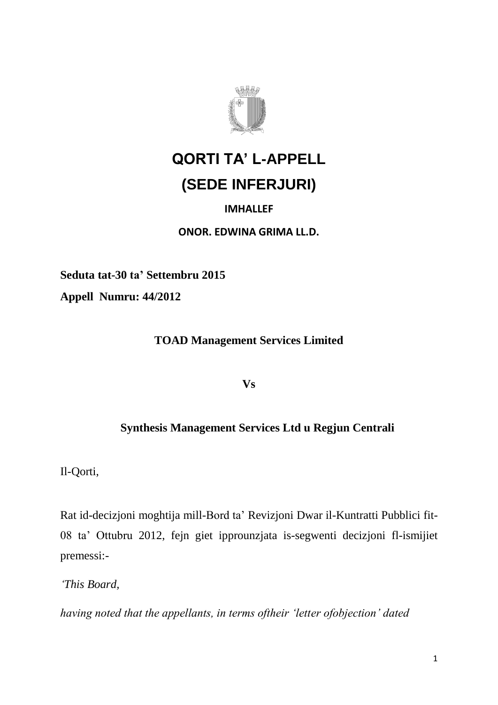

## **QORTI TA' L-APPELL (SEDE INFERJURI)**

## **IMHALLEF**

**ONOR. EDWINA GRIMA LL.D.**

**Seduta tat-30 ta' Settembru 2015 Appell Numru: 44/2012** 

**TOAD Management Services Limited** 

**Vs**

## **Synthesis Management Services Ltd u Regjun Centrali**

Il-Qorti,

Rat id-decizjoni moghtija mill-Bord ta' Revizjoni Dwar il-Kuntratti Pubblici fit-08 ta' Ottubru 2012, fejn giet ipprounzjata is-segwenti decizjoni fl-ismijiet premessi:-

*'This Board,*

*having noted that the appellants, in terms oftheir 'letter ofobjection' dated*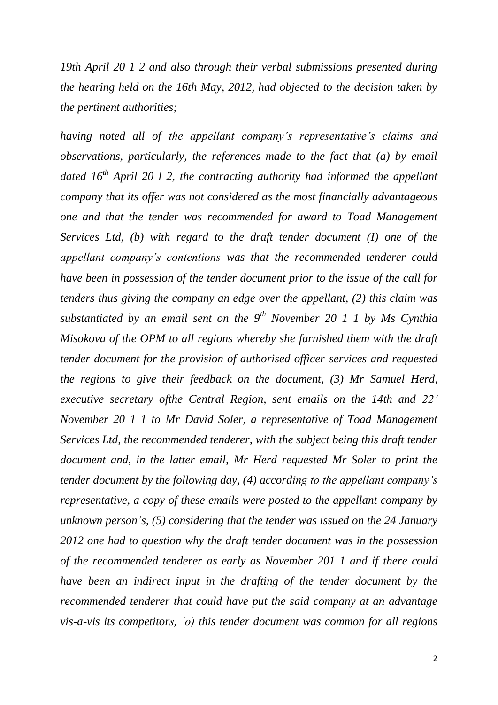*19th April 20 1 2 and also through their verbal submissions presented during the hearing held on the 16th May, 2012, had objected to the decision taken by the pertinent authorities;*

*having noted all of the appellant company's representative's claims and observations, particularly, the references made to the fact that (a) by email dated 16th April 20 l 2, the contracting authority had informed the appellant company that its offer was not considered as the most financially advantageous one and that the tender was recommended for award to Toad Management Services Ltd, (b) with regard to the draft tender document (I) one of the appellant company's contentions was that the recommended tenderer could have been in possession of the tender document prior to the issue of the call for tenders thus giving the company an edge over the appellant, (2) this claim was substantiated by an email sent on the 9th November 20 1 1 by Ms Cynthia Misokova of the OPM to all regions whereby she furnished them with the draft tender document for the provision of authorised officer services and requested the regions to give their feedback on the document, (3) Mr Samuel Herd, executive secretary ofthe Central Region, sent emails on the 14th and 22' November 20 1 1 to Mr David Soler, a representative of Toad Management Services Ltd, the recommended tenderer, with the subject being this draft tender document and, in the latter email, Mr Herd requested Mr Soler to print the tender document by the following day, (4) according to the appellant company's representative, a copy of these emails were posted to the appellant company by unknown person's, (5) considering that the tender was issued on the 24 January 2012 one had to question why the draft tender document was in the possession of the recommended tenderer as early as November 201 1 and if there could have been an indirect input in the drafting of the tender document by the recommended tenderer that could have put the said company at an advantage vis-a-vis its competitors, 'o) this tender document was common for all regions*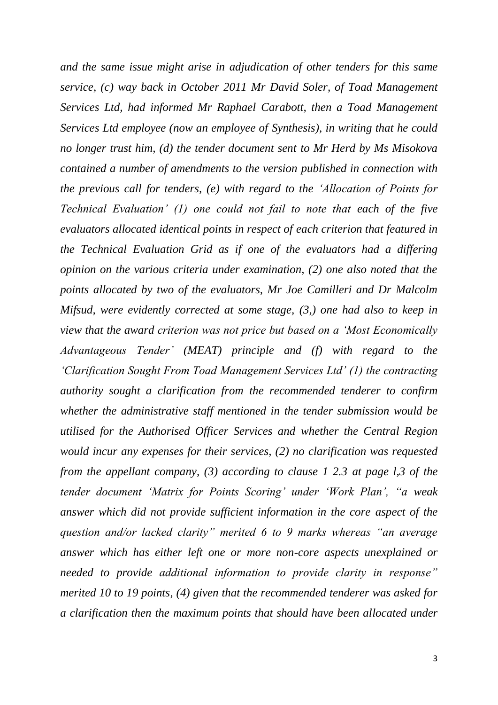*and the same issue might arise in adjudication of other tenders for this same service, (c) way back in October 2011 Mr David Soler, of Toad Management Services Ltd, had informed Mr Raphael Carabott, then a Toad Management Services Ltd employee (now an employee of Synthesis), in writing that he could no longer trust him, (d) the tender document sent to Mr Herd by Ms Misokova contained a number of amendments to the version published in connection with the previous call for tenders, (e) with regard to the 'Allocation of Points for Technical Evaluation' (1) one could not fail to note that each of the five evaluators allocated identical points in respect of each criterion that featured in the Technical Evaluation Grid as if one of the evaluators had a differing opinion on the various criteria under examination, (2) one also noted that the points allocated by two of the evaluators, Mr Joe Camilleri and Dr Malcolm Mifsud, were evidently corrected at some stage, (3,) one had also to keep in view that the award criterion was not price but based on a 'Most Economically Advantageous Tender' (MEAT) principle and (f) with regard to the 'Clarification Sought From Toad Management Services Ltd' (1) the contracting authority sought a clarification from the recommended tenderer to confirm whether the administrative staff mentioned in the tender submission would be utilised for the Authorised Officer Services and whether the Central Region would incur any expenses for their services, (2) no clarification was requested from the appellant company, (3) according to clause 1 2.3 at page l,3 of the tender document 'Matrix for Points Scoring' under 'Work Plan', "a weak answer which did not provide sufficient information in the core aspect of the question and/or lacked clarity" merited 6 to 9 marks whereas "an average answer which has either left one or more non-core aspects unexplained or needed to provide additional information to provide clarity in response" merited 10 to 19 points, (4) given that the recommended tenderer was asked for a clarification then the maximum points that should have been allocated under*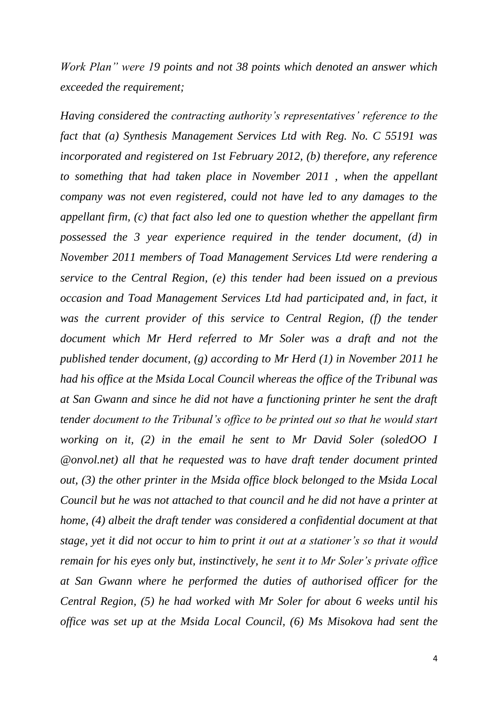*Work Plan" were 19 points and not 38 points which denoted an answer which exceeded the requirement;*

*Having considered the contracting authority's representatives' reference to the fact that (a) Synthesis Management Services Ltd with Reg. No. C 55191 was incorporated and registered on 1st February 2012, (b) therefore, any reference to something that had taken place in November 2011 , when the appellant company was not even registered, could not have led to any damages to the appellant firm, (c) that fact also led one to question whether the appellant firm possessed the 3 year experience required in the tender document, (d) in November 2011 members of Toad Management Services Ltd were rendering a service to the Central Region, (e) this tender had been issued on a previous occasion and Toad Management Services Ltd had participated and, in fact, it was the current provider of this service to Central Region, (f) the tender document which Mr Herd referred to Mr Soler was a draft and not the published tender document, (g) according to Mr Herd (1) in November 2011 he had his office at the Msida Local Council whereas the office of the Tribunal was at San Gwann and since he did not have a functioning printer he sent the draft tender document to the Tribunal's office to be printed out so that he would start working on it, (2) in the email he sent to Mr David Soler (soledOO I @onvol.net) all that he requested was to have draft tender document printed out, (3) the other printer in the Msida office block belonged to the Msida Local Council but he was not attached to that council and he did not have a printer at home, (4) albeit the draft tender was considered a confidential document at that stage, yet it did not occur to him to print it out at a stationer's so that it would remain for his eyes only but, instinctively, he sent it to Mr Soler's private office at San Gwann where he performed the duties of authorised officer for the Central Region, (5) he had worked with Mr Soler for about 6 weeks until his office was set up at the Msida Local Council, (6) Ms Misokova had sent the*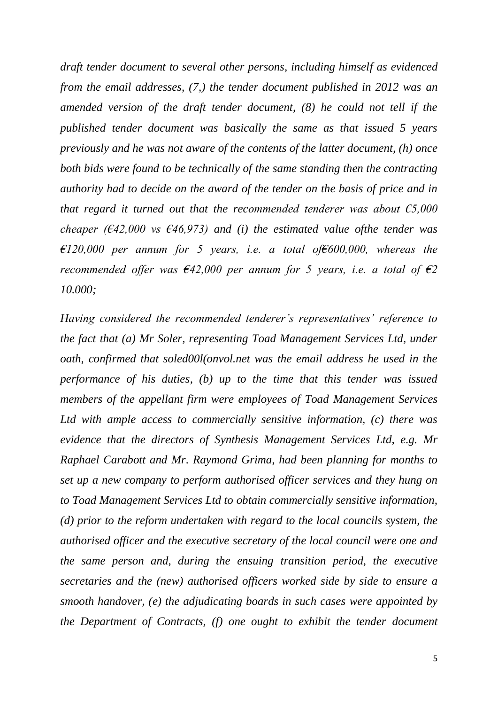*draft tender document to several other persons, including himself as evidenced from the email addresses, (7,) the tender document published in 2012 was an amended version of the draft tender document, (8) he could not tell if the published tender document was basically the same as that issued 5 years previously and he was not aware of the contents of the latter document, (h) once both bids were found to be technically of the same standing then the contracting authority had to decide on the award of the tender on the basis of price and in that regard it turned out that the recommended tenderer was about €5,000 cheaper (€42,000 vs €46,973) and (i) the estimated value ofthe tender was €120,000 per annum for 5 years, i.e. a total of€600,000, whereas the recommended offer was €42,000 per annum for 5 years, i.e. a total of €2 10.000;*

*Having considered the recommended tenderer's representatives' reference to the fact that (a) Mr Soler, representing Toad Management Services Ltd, under oath, confirmed that soled00l(onvol.net was the email address he used in the performance of his duties, (b) up to the time that this tender was issued members of the appellant firm were employees of Toad Management Services Ltd with ample access to commercially sensitive information, (c) there was evidence that the directors of Synthesis Management Services Ltd, e.g. Mr Raphael Carabott and Mr. Raymond Grima, had been planning for months to set up a new company to perform authorised officer services and they hung on to Toad Management Services Ltd to obtain commercially sensitive information, (d) prior to the reform undertaken with regard to the local councils system, the authorised officer and the executive secretary of the local council were one and the same person and, during the ensuing transition period, the executive secretaries and the (new) authorised officers worked side by side to ensure a smooth handover, (e) the adjudicating boards in such cases were appointed by the Department of Contracts, (f) one ought to exhibit the tender document*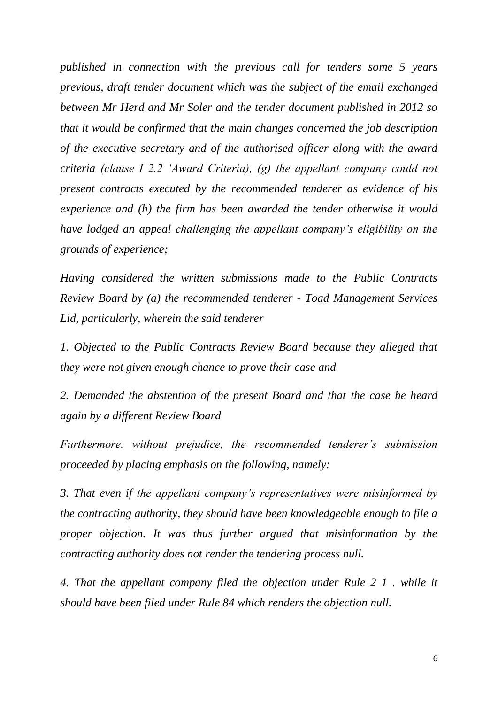*published in connection with the previous call for tenders some 5 years previous, draft tender document which was the subject of the email exchanged between Mr Herd and Mr Soler and the tender document published in 2012 so that it would be confirmed that the main changes concerned the job description of the executive secretary and of the authorised officer along with the award criteria (clause I 2.2 'Award Criteria), (g) the appellant company could not present contracts executed by the recommended tenderer as evidence of his experience and (h) the firm has been awarded the tender otherwise it would have lodged an appeal challenging the appellant company's eligibility on the grounds of experience;*

*Having considered the written submissions made to the Public Contracts Review Board by (a) the recommended tenderer - Toad Management Services Lid, particularly, wherein the said tenderer*

*1. Objected to the Public Contracts Review Board because they alleged that they were not given enough chance to prove their case and*

*2. Demanded the abstention of the present Board and that the case he heard again by a different Review Board*

*Furthermore. without prejudice, the recommended tenderer's submission proceeded by placing emphasis on the following, namely:*

*3. That even if the appellant company's representatives were misinformed by the contracting authority, they should have been knowledgeable enough to file a proper objection. It was thus further argued that misinformation by the contracting authority does not render the tendering process null.*

*4. That the appellant company filed the objection under Rule 2 1 . while it should have been filed under Rule 84 which renders the objection null.*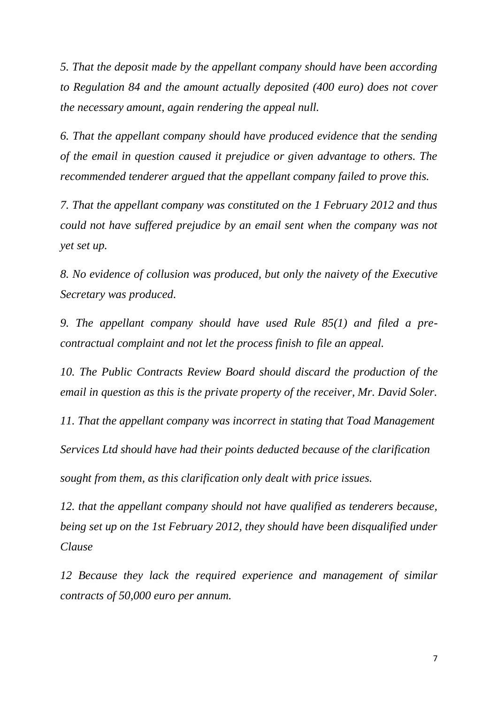*5. That the deposit made by the appellant company should have been according to Regulation 84 and the amount actually deposited (400 euro) does not cover the necessary amount, again rendering the appeal null.*

*6. That the appellant company should have produced evidence that the sending of the email in question caused it prejudice or given advantage to others. The recommended tenderer argued that the appellant company failed to prove this.*

*7. That the appellant company was constituted on the 1 February 2012 and thus could not have suffered prejudice by an email sent when the company was not yet set up.*

*8. No evidence of collusion was produced, but only the naivety of the Executive Secretary was produced.*

*9. The appellant company should have used Rule 85(1) and filed a precontractual complaint and not let the process finish to file an appeal.*

*10. The Public Contracts Review Board should discard the production of the email in question as this is the private property of the receiver, Mr. David Soler.*

*11. That the appellant company was incorrect in stating that Toad Management Services Ltd should have had their points deducted because of the clarification sought from them, as this clarification only dealt with price issues.*

*12. that the appellant company should not have qualified as tenderers because, being set up on the 1st February 2012, they should have been disqualified under Clause*

*12 Because they lack the required experience and management of similar contracts of 50,000 euro per annum.*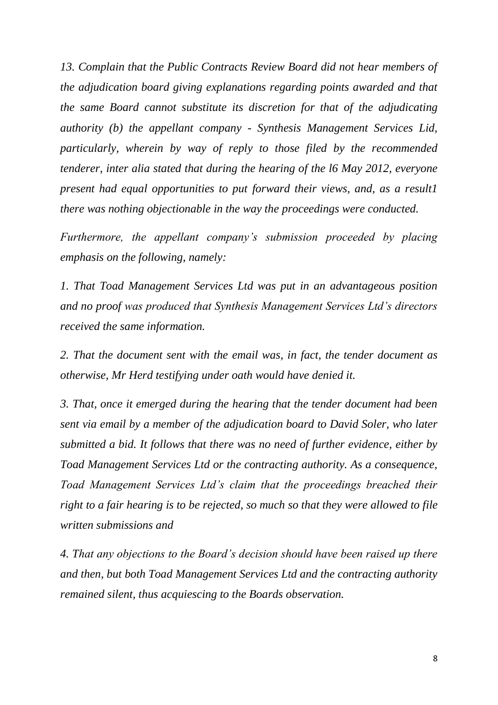*13. Complain that the Public Contracts Review Board did not hear members of the adjudication board giving explanations regarding points awarded and that the same Board cannot substitute its discretion for that of the adjudicating authority (b) the appellant company - Synthesis Management Services Lid, particularly, wherein by way of reply to those filed by the recommended tenderer, inter alia stated that during the hearing of the l6 May 2012, everyone present had equal opportunities to put forward their views, and, as a result1 there was nothing objectionable in the way the proceedings were conducted.*

*Furthermore, the appellant company's submission proceeded by placing emphasis on the following, namely:*

*1. That Toad Management Services Ltd was put in an advantageous position and no proof was produced that Synthesis Management Services Ltd's directors received the same information.*

*2. That the document sent with the email was, in fact, the tender document as otherwise, Mr Herd testifying under oath would have denied it.*

*3. That, once it emerged during the hearing that the tender document had been sent via email by a member of the adjudication board to David Soler, who later submitted a bid. It follows that there was no need of further evidence, either by Toad Management Services Ltd or the contracting authority. As a consequence, Toad Management Services Ltd's claim that the proceedings breached their right to a fair hearing is to be rejected, so much so that they were allowed to file written submissions and*

*4. That any objections to the Board's decision should have been raised up there and then, but both Toad Management Services Ltd and the contracting authority remained silent, thus acquiescing to the Boards observation.*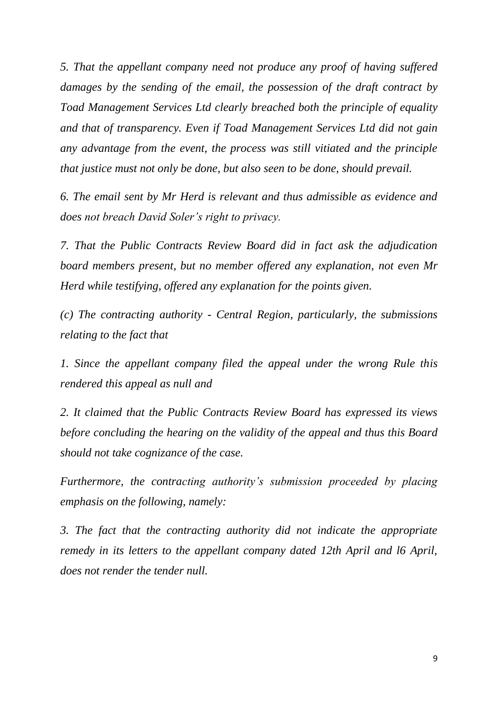*5. That the appellant company need not produce any proof of having suffered damages by the sending of the email, the possession of the draft contract by Toad Management Services Ltd clearly breached both the principle of equality and that of transparency. Even if Toad Management Services Ltd did not gain any advantage from the event, the process was still vitiated and the principle that justice must not only be done, but also seen to be done, should prevail.*

*6. The email sent by Mr Herd is relevant and thus admissible as evidence and does not breach David Soler's right to privacy.*

*7. That the Public Contracts Review Board did in fact ask the adjudication board members present, but no member offered any explanation, not even Mr Herd while testifying, offered any explanation for the points given.*

*(c) The contracting authority - Central Region, particularly, the submissions relating to the fact that*

*1. Since the appellant company filed the appeal under the wrong Rule this rendered this appeal as null and*

*2. It claimed that the Public Contracts Review Board has expressed its views before concluding the hearing on the validity of the appeal and thus this Board should not take cognizance of the case.*

*Furthermore, the contracting authority's submission proceeded by placing emphasis on the following, namely:*

*3. The fact that the contracting authority did not indicate the appropriate remedy in its letters to the appellant company dated 12th April and l6 April, does not render the tender null.*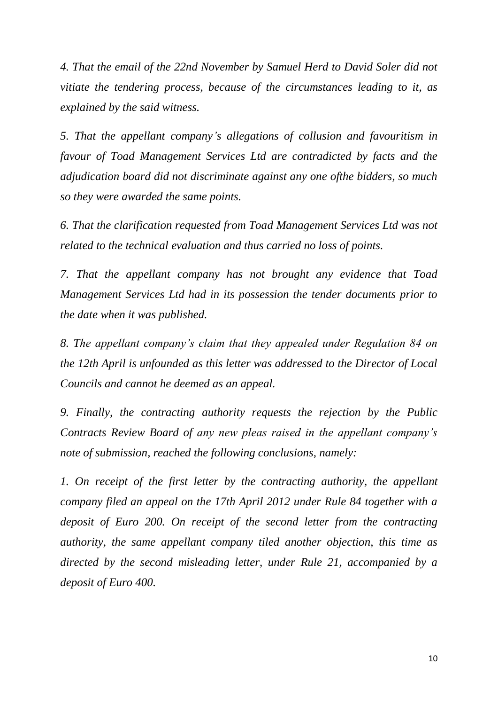*4. That the email of the 22nd November by Samuel Herd to David Soler did not vitiate the tendering process, because of the circumstances leading to it, as explained by the said witness.*

*5. That the appellant company's allegations of collusion and favouritism in favour of Toad Management Services Ltd are contradicted by facts and the adjudication board did not discriminate against any one ofthe bidders, so much so they were awarded the same points.*

*6. That the clarification requested from Toad Management Services Ltd was not related to the technical evaluation and thus carried no loss of points.*

*7. That the appellant company has not brought any evidence that Toad Management Services Ltd had in its possession the tender documents prior to the date when it was published.*

*8. The appellant company's claim that they appealed under Regulation 84 on the 12th April is unfounded as this letter was addressed to the Director of Local Councils and cannot he deemed as an appeal.*

*9. Finally, the contracting authority requests the rejection by the Public Contracts Review Board of any new pleas raised in the appellant company's note of submission, reached the following conclusions, namely:*

*1. On receipt of the first letter by the contracting authority, the appellant company filed an appeal on the 17th April 2012 under Rule 84 together with a deposit of Euro 200. On receipt of the second letter from the contracting authority, the same appellant company tiled another objection, this time as directed by the second misleading letter, under Rule 21, accompanied by a deposit of Euro 400.*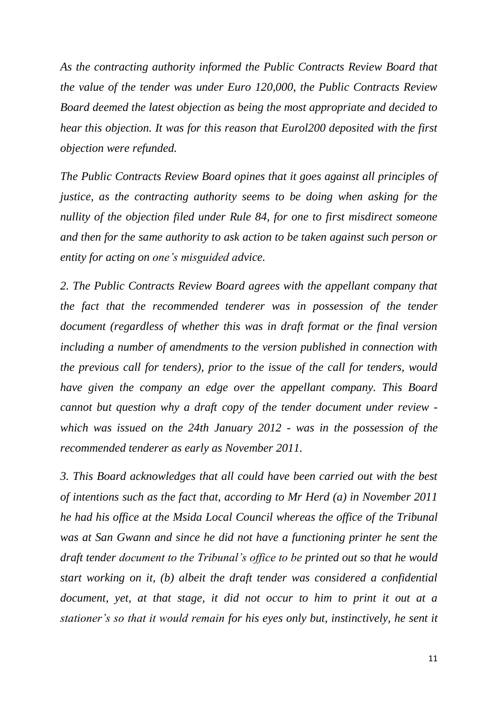*As the contracting authority informed the Public Contracts Review Board that the value of the tender was under Euro 120,000, the Public Contracts Review Board deemed the latest objection as being the most appropriate and decided to hear this objection. It was for this reason that Eurol200 deposited with the first objection were refunded.*

*The Public Contracts Review Board opines that it goes against all principles of justice, as the contracting authority seems to be doing when asking for the nullity of the objection filed under Rule 84, for one to first misdirect someone and then for the same authority to ask action to be taken against such person or entity for acting on one's misguided advice.*

*2. The Public Contracts Review Board agrees with the appellant company that the fact that the recommended tenderer was in possession of the tender document (regardless of whether this was in draft format or the final version including a number of amendments to the version published in connection with the previous call for tenders), prior to the issue of the call for tenders, would have given the company an edge over the appellant company. This Board cannot but question why a draft copy of the tender document under review which was issued on the 24th January 2012 - was in the possession of the recommended tenderer as early as November 2011.*

*3. This Board acknowledges that all could have been carried out with the best of intentions such as the fact that, according to Mr Herd (a) in November 2011 he had his office at the Msida Local Council whereas the office of the Tribunal was at San Gwann and since he did not have a functioning printer he sent the draft tender document to the Tribunal's office to be printed out so that he would start working on it, (b) albeit the draft tender was considered a confidential document, yet, at that stage, it did not occur to him to print it out at a stationer's so that it would remain for his eyes only but, instinctively, he sent it*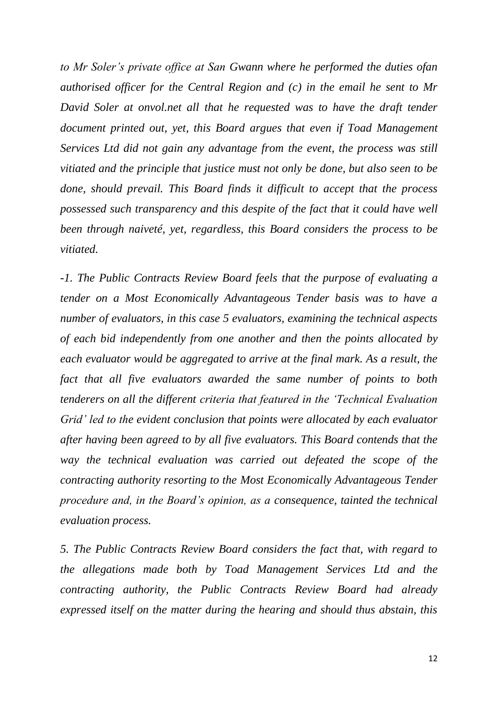*to Mr Soler's private office at San Gwann where he performed the duties ofan authorised officer for the Central Region and (c) in the email he sent to Mr David Soler at onvol.net all that he requested was to have the draft tender document printed out, yet, this Board argues that even if Toad Management Services Ltd did not gain any advantage from the event, the process was still vitiated and the principle that justice must not only be done, but also seen to be done, should prevail. This Board finds it difficult to accept that the process possessed such transparency and this despite of the fact that it could have well been through naiveté, yet, regardless, this Board considers the process to be vitiated.*

*-1. The Public Contracts Review Board feels that the purpose of evaluating a tender on a Most Economically Advantageous Tender basis was to have a number of evaluators, in this case 5 evaluators, examining the technical aspects of each bid independently from one another and then the points allocated by each evaluator would be aggregated to arrive at the final mark. As a result, the fact that all five evaluators awarded the same number of points to both tenderers on all the different criteria that featured in the 'Technical Evaluation Grid' led to the evident conclusion that points were allocated by each evaluator after having been agreed to by all five evaluators. This Board contends that the way the technical evaluation was carried out defeated the scope of the contracting authority resorting to the Most Economically Advantageous Tender procedure and, in the Board's opinion, as a consequence, tainted the technical evaluation process.*

*5. The Public Contracts Review Board considers the fact that, with regard to the allegations made both by Toad Management Services Ltd and the contracting authority, the Public Contracts Review Board had already expressed itself on the matter during the hearing and should thus abstain, this*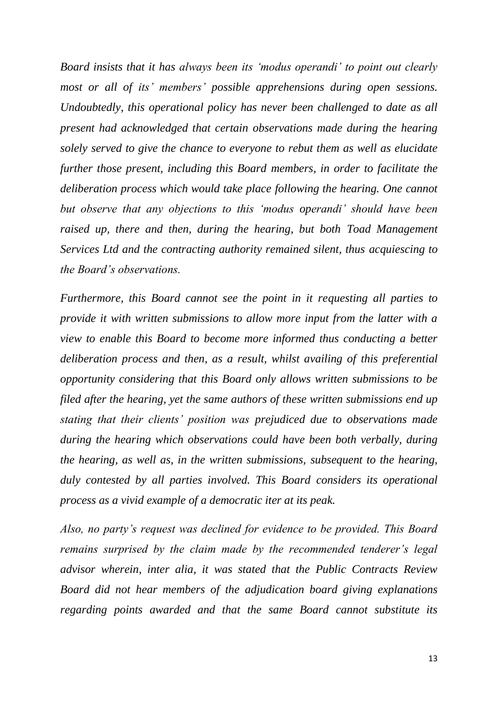*Board insists that it has always been its 'modus operandi' to point out clearly most or all of its' members' possible apprehensions during open sessions. Undoubtedly, this operational policy has never been challenged to date as all present had acknowledged that certain observations made during the hearing solely served to give the chance to everyone to rebut them as well as elucidate further those present, including this Board members, in order to facilitate the deliberation process which would take place following the hearing. One cannot but observe that any objections to this 'modus operandi' should have been raised up, there and then, during the hearing, but both Toad Management Services Ltd and the contracting authority remained silent, thus acquiescing to the Board's observations.*

*Furthermore, this Board cannot see the point in it requesting all parties to provide it with written submissions to allow more input from the latter with a view to enable this Board to become more informed thus conducting a better deliberation process and then, as a result, whilst availing of this preferential opportunity considering that this Board only allows written submissions to be filed after the hearing, yet the same authors of these written submissions end up stating that their clients' position was prejudiced due to observations made during the hearing which observations could have been both verbally, during the hearing, as well as, in the written submissions, subsequent to the hearing, duly contested by all parties involved. This Board considers its operational process as a vivid example of a democratic iter at its peak.*

*Also, no party's request was declined for evidence to be provided. This Board remains surprised by the claim made by the recommended tenderer's legal advisor wherein, inter alia, it was stated that the Public Contracts Review Board did not hear members of the adjudication board giving explanations regarding points awarded and that the same Board cannot substitute its*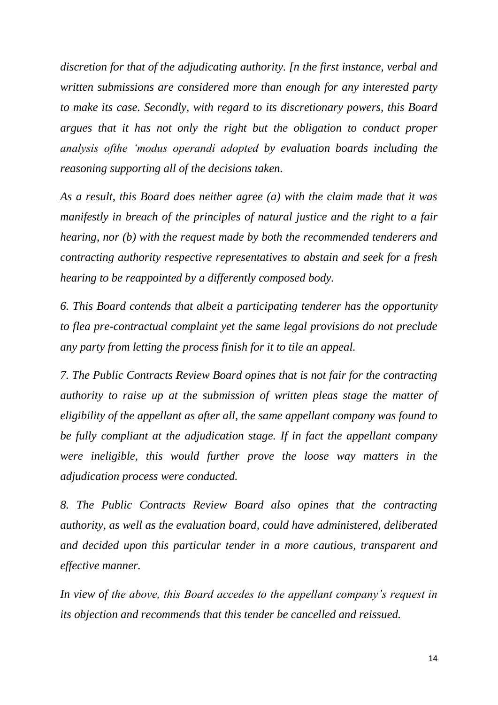*discretion for that of the adjudicating authority. [n the first instance, verbal and written submissions are considered more than enough for any interested party to make its case. Secondly, with regard to its discretionary powers, this Board argues that it has not only the right but the obligation to conduct proper analysis ofthe 'modus operandi adopted by evaluation boards including the reasoning supporting all of the decisions taken.*

*As a result, this Board does neither agree (a) with the claim made that it was manifestly in breach of the principles of natural justice and the right to a fair hearing, nor (b) with the request made by both the recommended tenderers and contracting authority respective representatives to abstain and seek for a fresh hearing to be reappointed by a differently composed body.*

*6. This Board contends that albeit a participating tenderer has the opportunity to flea pre-contractual complaint yet the same legal provisions do not preclude any party from letting the process finish for it to tile an appeal.*

*7. The Public Contracts Review Board opines that is not fair for the contracting authority to raise up at the submission of written pleas stage the matter of eligibility of the appellant as after all, the same appellant company was found to be fully compliant at the adjudication stage. If in fact the appellant company were ineligible, this would further prove the loose way matters in the adjudication process were conducted.*

*8. The Public Contracts Review Board also opines that the contracting authority, as well as the evaluation board, could have administered, deliberated and decided upon this particular tender in a more cautious, transparent and effective manner.*

*In view of the above, this Board accedes to the appellant company's request in its objection and recommends that this tender be cancelled and reissued.*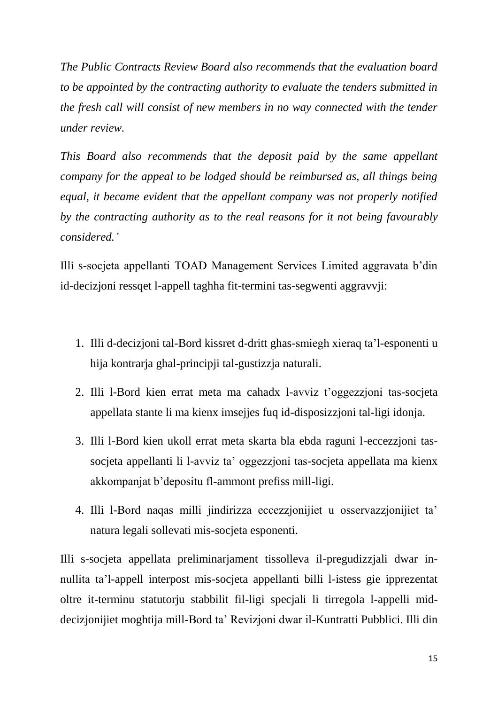*The Public Contracts Review Board also recommends that the evaluation board to be appointed by the contracting authority to evaluate the tenders submitted in the fresh call will consist of new members in no way connected with the tender under review.*

*This Board also recommends that the deposit paid by the same appellant company for the appeal to be lodged should be reimbursed as, all things being equal, it became evident that the appellant company was not properly notified by the contracting authority as to the real reasons for it not being favourably considered.'*

Illi s-socjeta appellanti TOAD Management Services Limited aggravata b'din id-decizjoni ressqet l-appell taghha fit-termini tas-segwenti aggravvji:

- 1. Illi d-decizjoni tal-Bord kissret d-dritt ghas-smiegh xieraq ta'l-esponenti u hija kontrarja ghal-principji tal-gustizzja naturali.
- 2. Illi l-Bord kien errat meta ma cahadx l-avviz t'oggezzjoni tas-socjeta appellata stante li ma kienx imsejjes fuq id-disposizzjoni tal-ligi idonja.
- 3. Illi l-Bord kien ukoll errat meta skarta bla ebda raguni l-eccezzjoni tassocjeta appellanti li l-avviz ta' oggezzjoni tas-socjeta appellata ma kienx akkompanjat b'depositu fl-ammont prefiss mill-ligi.
- 4. Illi l-Bord naqas milli jindirizza eccezzjonijiet u osservazzjonijiet ta' natura legali sollevati mis-socjeta esponenti.

Illi s-socjeta appellata preliminarjament tissolleva il-pregudizzjali dwar innullita ta'l-appell interpost mis-socjeta appellanti billi l-istess gie ipprezentat oltre it-terminu statutorju stabbilit fil-ligi specjali li tirregola l-appelli middecizjonijiet moghtija mill-Bord ta' Revizjoni dwar il-Kuntratti Pubblici. Illi din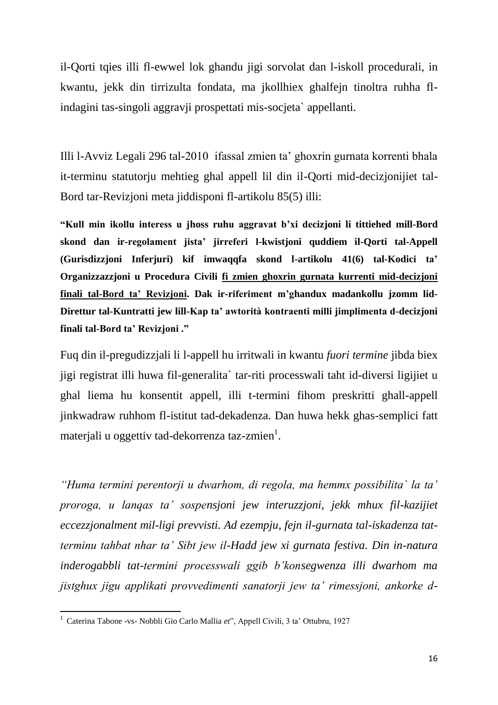il-Qorti tqies illi fl-ewwel lok ghandu jigi sorvolat dan l-iskoll procedurali, in kwantu, jekk din tirrizulta fondata, ma jkollhiex ghalfejn tinoltra ruhha flindagini tas-singoli aggravji prospettati mis-socjeta` appellanti.

Illi l-Avviz Legali 296 tal-2010 ifassal zmien ta' ghoxrin gurnata korrenti bhala it-terminu statutorju mehtieg ghal appell lil din il-Qorti mid-decizjonijiet tal-Bord tar-Revizjoni meta jiddisponi fl-artikolu 85(5) illi:

**"Kull min ikollu interess u jhoss ruhu aggravat b'xi decizjoni li tittiehed mill-Bord skond dan ir-regolament jista' jirreferi l-kwistjoni quddiem il-Qorti tal-Appell (Gurisdizzjoni Inferjuri) kif imwaqqfa skond l-artikolu 41(6) tal-Kodici ta' Organizzazzjoni u Procedura Civili fi zmien ghoxrin gurnata kurrenti mid-decizjoni finali tal-Bord ta' Revizjoni. Dak ir-riferiment m'ghandux madankollu jzomm lid-Direttur tal-Kuntratti jew lill-Kap ta' awtorità kontraenti milli jimplimenta d-decizjoni finali tal-Bord ta' Revizjoni ."**

Fuq din il-pregudizzjali li l-appell hu irritwali in kwantu *fuori termine* jibda biex jigi registrat illi huwa fil-generalita` tar-riti processwali taht id-diversi ligijiet u ghal liema hu konsentit appell, illi t-termini fihom preskritti ghall-appell jinkwadraw ruhhom fl-istitut tad-dekadenza. Dan huwa hekk ghas-semplici fatt materjali u oggettiv tad-dekorrenza taz-zmien $^1$ .

*"Huma termini perentorji u dwarhom, di regola, ma hemmx possibilita` la ta' proroga, u lanqas ta' sospensjoni jew interuzzjoni, jekk mhux fil-kazijiet eccezzjonalment mil-ligi prevvisti. Ad ezempju, fejn il-gurnata tal-iskadenza tatterminu tahbat nhar ta' Sibt jew il-Hadd jew xi gurnata festiva. Din in-natura inderogabbli tat-termini processwali ggib b'konsegwenza illi dwarhom ma jistghux jigu applikati provvedimenti sanatorji jew ta' rimessjoni, ankorke d-*

 1 Caterina Tabone -vs- Nobbli Gio Carlo Mallia *et*", Appell Civili, 3 ta' Ottubru, 1927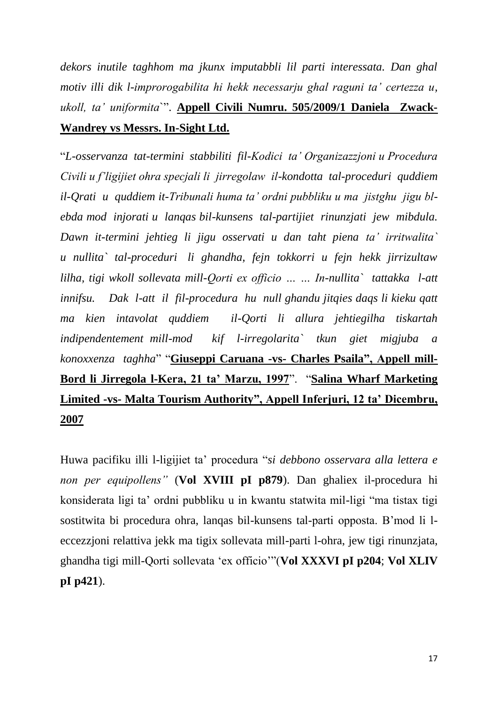*dekors inutile taghhom ma jkunx imputabbli lil parti interessata. Dan ghal motiv illi dik l-improrogabilita hi hekk necessarju ghal raguni ta' certezza u, ukoll, ta' uniformita*`". **Appell Civili Numru. 505/2009/1 Daniela Zwack-Wandrey vs Messrs. In-Sight Ltd.**

"*L-osservanza tat-termini stabbiliti fil-Kodici ta' Organizazzjoni u Procedura Civili u f'ligijiet ohra specjali li jirregolaw il-kondotta tal-proceduri quddiem il-Qrati u quddiem it-Tribunali huma ta' ordni pubbliku u ma jistghu jigu blebda mod injorati u lanqas bil-kunsens tal-partijiet rinunzjati jew mibdula. Dawn it-termini jehtieg li jigu osservati u dan taht piena ta' irritwalita` u nullita` tal-proceduri li ghandha, fejn tokkorri u fejn hekk jirrizultaw lilha, tigi wkoll sollevata mill-Qorti ex officio … … In-nullita` tattakka l-att innifsu. Dak l-att il fil-procedura hu null ghandu jitqies daqs li kieku qatt ma kien intavolat quddiem il-Qorti li allura jehtiegilha tiskartah indipendentement mill-mod kif l-irregolarita` tkun giet migjuba a konoxxenza taghha*" "**Giuseppi Caruana -vs- Charles Psaila", Appell mill-Bord li Jirregola l-Kera, 21 ta' Marzu, 1997**". "**Salina Wharf Marketing Limited -vs- Malta Tourism Authority", Appell Inferjuri, 12 ta' Dicembru, 2007**

Huwa pacifiku illi l-ligijiet ta' procedura "*si debbono osservara alla lettera e non per equipollens"* (**Vol XVIII pI p879**). Dan ghaliex il-procedura hi konsiderata ligi ta' ordni pubbliku u in kwantu statwita mil-ligi "ma tistax tigi sostitwita bi procedura ohra, lanqas bil-kunsens tal-parti opposta. B'mod li leccezzjoni relattiva jekk ma tigix sollevata mill-parti l-ohra, jew tigi rinunzjata, ghandha tigi mill-Qorti sollevata 'ex officio'"(**Vol XXXVI pI p204**; **Vol XLIV pI p421**).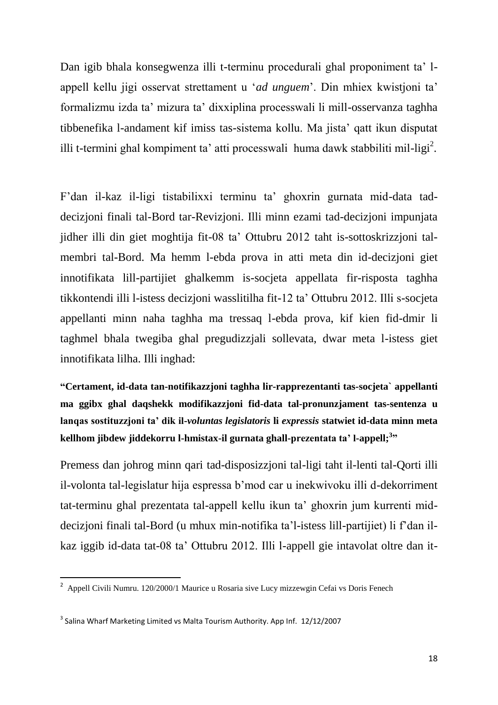Dan igib bhala konsegwenza illi t-terminu procedurali ghal proponiment ta' lappell kellu jigi osservat strettament u '*ad unguem*'. Din mhiex kwistjoni ta' formalizmu izda ta' mizura ta' dixxiplina processwali li mill-osservanza taghha tibbenefika l-andament kif imiss tas-sistema kollu. Ma jista' qatt ikun disputat illi t-termini ghal kompiment ta' atti processwali huma dawk stabbiliti mil-ligi<sup>2</sup>.

F'dan il-kaz il-ligi tistabilixxi terminu ta' ghoxrin gurnata mid-data taddecizjoni finali tal-Bord tar-Revizjoni. Illi minn ezami tad-decizjoni impunjata jidher illi din giet moghtija fit-08 ta' Ottubru 2012 taht is-sottoskrizzjoni talmembri tal-Bord. Ma hemm l-ebda prova in atti meta din id-decizjoni giet innotifikata lill-partijiet ghalkemm is-socjeta appellata fir-risposta taghha tikkontendi illi l-istess decizjoni wasslitilha fit-12 ta' Ottubru 2012. Illi s-socjeta appellanti minn naha taghha ma tressaq l-ebda prova, kif kien fid-dmir li taghmel bhala twegiba ghal pregudizzjali sollevata, dwar meta l-istess giet innotifikata lilha. Illi inghad:

**"Certament, id-data tan-notifikazzjoni taghha lir-rapprezentanti tas-socjeta` appellanti ma ggibx ghal daqshekk modifikazzjoni fid-data tal-pronunzjament tas-sentenza u lanqas sostituzzjoni ta' dik il-***voluntas legislatoris* **li** *expressis* **statwiet id-data minn meta kellhom jibdew jiddekorru l-hmistax-il gurnata ghall-prezentata ta' l-appell;<sup>3</sup> "**

Premess dan johrog minn qari tad-disposizzjoni tal-ligi taht il-lenti tal-Qorti illi il-volonta tal-legislatur hija espressa b'mod car u inekwivoku illi d-dekorriment tat-terminu ghal prezentata tal-appell kellu ikun ta' ghoxrin jum kurrenti middecizjoni finali tal-Bord (u mhux min-notifika ta'l-istess lill-partijiet) li f'dan ilkaz iggib id-data tat-08 ta' Ottubru 2012. Illi l-appell gie intavolat oltre dan it-

 2 Appell Civili Numru. 120/2000/1 Maurice u Rosaria sive Lucy mizzewgin Cefai vs Doris Fenech

 $^3$  Salina Wharf Marketing Limited vs Malta Tourism Authority. App Inf. 12/12/2007